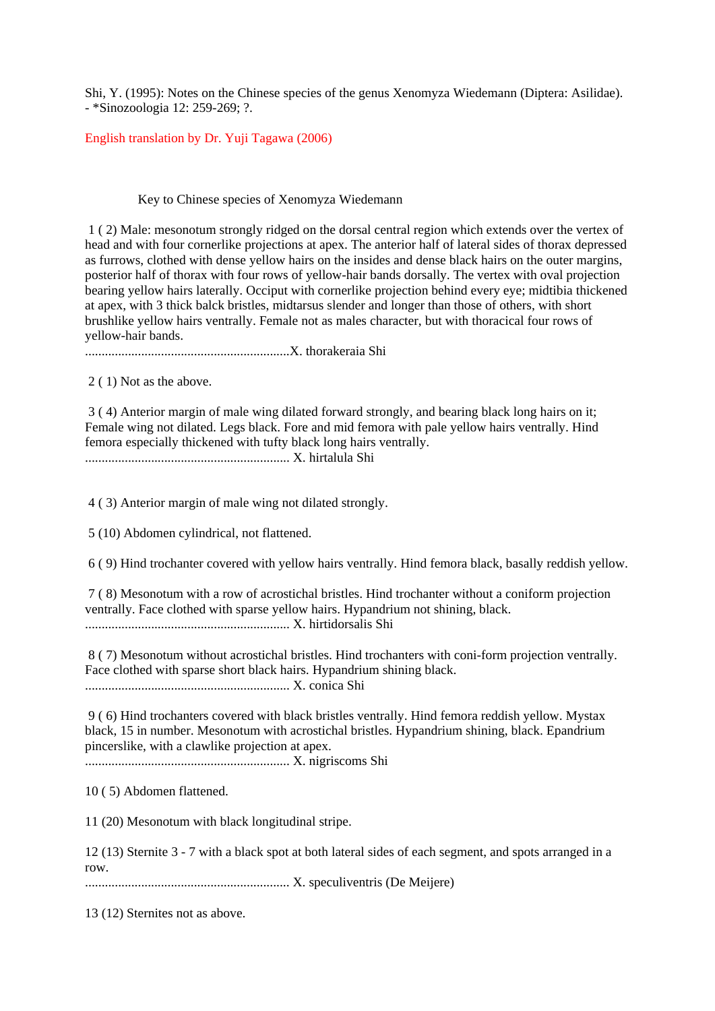Shi, Y. (1995): Notes on the Chinese species of the genus Xenomyza Wiedemann (Diptera: Asilidae). - \*Sinozoologia 12: 259-269; ?.

English translation by Dr. Yuji Tagawa (2006)

#### Key to Chinese species of Xenomyza Wiedemann

 1 ( 2) Male: mesonotum strongly ridged on the dorsal central region which extends over the vertex of head and with four cornerlike projections at apex. The anterior half of lateral sides of thorax depressed as furrows, clothed with dense yellow hairs on the insides and dense black hairs on the outer margins, posterior half of thorax with four rows of yellow-hair bands dorsally. The vertex with oval projection bearing yellow hairs laterally. Occiput with cornerlike projection behind every eye; midtibia thickened at apex, with 3 thick balck bristles, midtarsus slender and longer than those of others, with short brushlike yellow hairs ventrally. Female not as males character, but with thoracical four rows of yellow-hair bands.

..............................................................X. thorakeraia Shi

2 ( 1) Not as the above.

 3 ( 4) Anterior margin of male wing dilated forward strongly, and bearing black long hairs on it; Female wing not dilated. Legs black. Fore and mid femora with pale yellow hairs ventrally. Hind femora especially thickened with tufty black long hairs ventrally. .............................................................. X. hirtalula Shi

4 ( 3) Anterior margin of male wing not dilated strongly.

5 (10) Abdomen cylindrical, not flattened.

6 ( 9) Hind trochanter covered with yellow hairs ventrally. Hind femora black, basally reddish yellow.

 7 ( 8) Mesonotum with a row of acrostichal bristles. Hind trochanter without a coniform projection ventrally. Face clothed with sparse yellow hairs. Hypandrium not shining, black. .............................................................. X. hirtidorsalis Shi

 8 ( 7) Mesonotum without acrostichal bristles. Hind trochanters with coni-form projection ventrally. Face clothed with sparse short black hairs. Hypandrium shining black. .............................................................. X. conica Shi

 9 ( 6) Hind trochanters covered with black bristles ventrally. Hind femora reddish yellow. Mystax black, 15 in number. Mesonotum with acrostichal bristles. Hypandrium shining, black. Epandrium pincerslike, with a clawlike projection at apex.

.............................................................. X. nigriscoms Shi

10 ( 5) Abdomen flattened.

11 (20) Mesonotum with black longitudinal stripe.

12 (13) Sternite 3 - 7 with a black spot at both lateral sides of each segment, and spots arranged in a row.

.............................................................. X. speculiventris (De Meijere)

13 (12) Sternites not as above.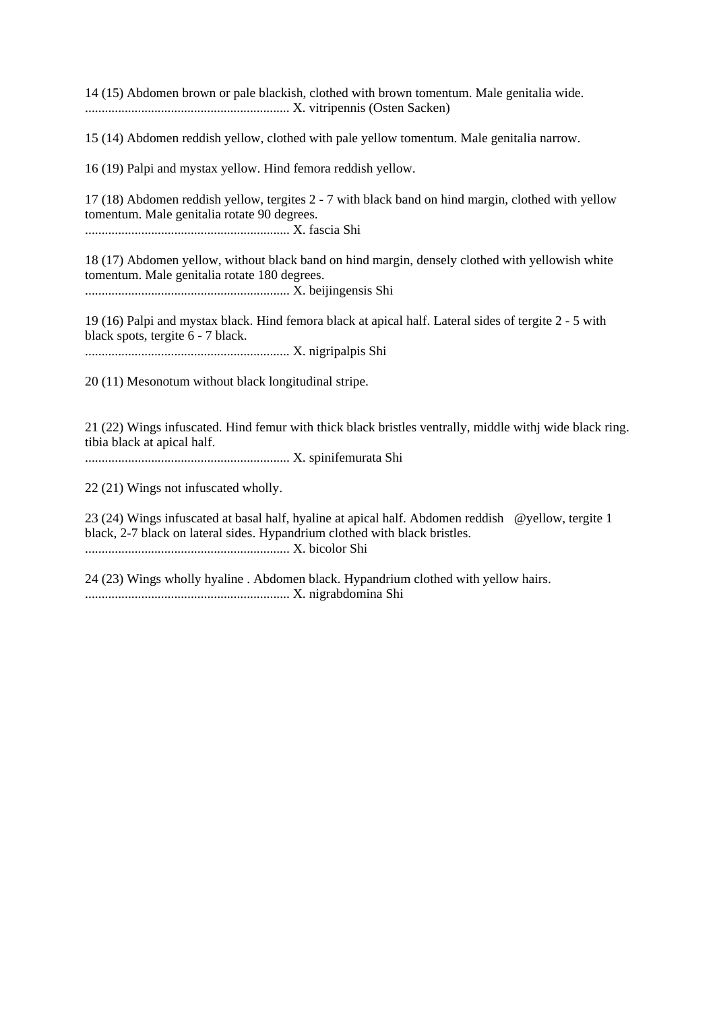14 (15) Abdomen brown or pale blackish, clothed with brown tomentum. Male genitalia wide. .............................................................. X. vitripennis (Osten Sacken)

15 (14) Abdomen reddish yellow, clothed with pale yellow tomentum. Male genitalia narrow.

16 (19) Palpi and mystax yellow. Hind femora reddish yellow.

17 (18) Abdomen reddish yellow, tergites 2 - 7 with black band on hind margin, clothed with yellow tomentum. Male genitalia rotate 90 degrees. .............................................................. X. fascia Shi

18 (17) Abdomen yellow, without black band on hind margin, densely clothed with yellowish white tomentum. Male genitalia rotate 180 degrees. .............................................................. X. beijingensis Shi

19 (16) Palpi and mystax black. Hind femora black at apical half. Lateral sides of tergite 2 - 5 with black spots, tergite 6 - 7 black. .............................................................. X. nigripalpis Shi

20 (11) Mesonotum without black longitudinal stripe.

21 (22) Wings infuscated. Hind femur with thick black bristles ventrally, middle withj wide black ring. tibia black at apical half.

.............................................................. X. spinifemurata Shi

22 (21) Wings not infuscated wholly.

23 (24) Wings infuscated at basal half, hyaline at apical half. Abdomen reddish @yellow, tergite 1 black, 2-7 black on lateral sides. Hypandrium clothed with black bristles. .............................................................. X. bicolor Shi

24 (23) Wings wholly hyaline . Abdomen black. Hypandrium clothed with yellow hairs. .............................................................. X. nigrabdomina Shi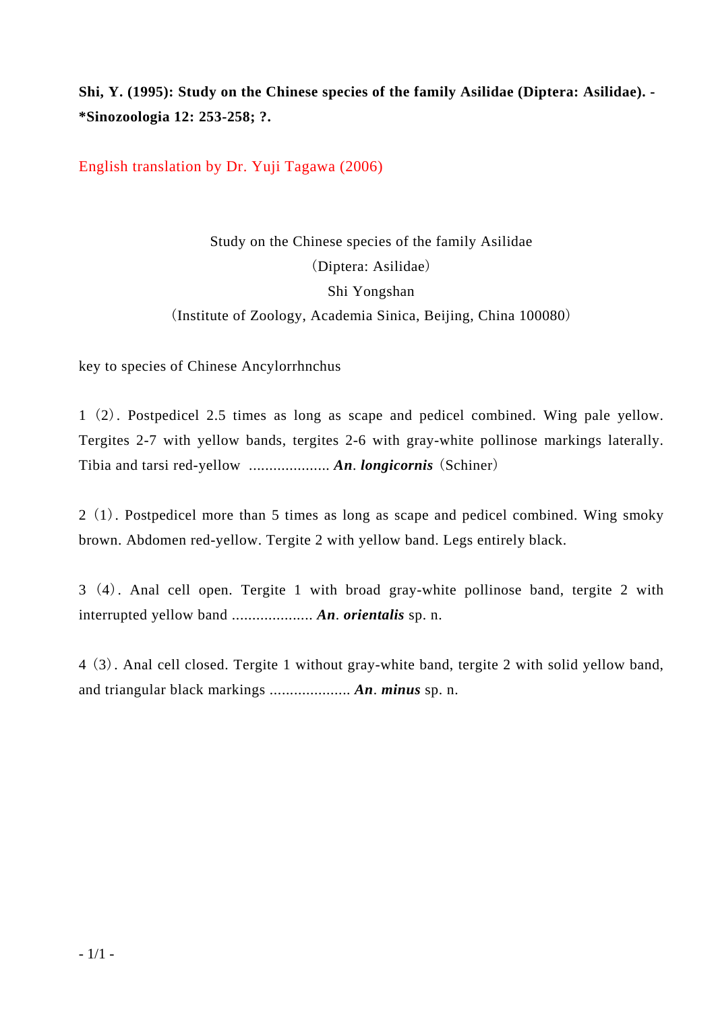**Shi, Y. (1995): Study on the Chinese species of the family Asilidae (Diptera: Asilidae). - \*Sinozoologia 12: 253-258; ?.** 

English translation by Dr. Yuji Tagawa (2006)

Study on the Chinese species of the family Asilidae (Diptera: Asilidae) Shi Yongshan (Institute of Zoology, Academia Sinica, Beijing, China 100080)

key to species of Chinese Ancylorrhnchus

1 (2). Postpedicel 2.5 times as long as scape and pedicel combined. Wing pale yellow. Tergites 2-7 with yellow bands, tergites 2-6 with gray-white pollinose markings laterally. Tibia and tarsi red-yellow .................... *An*. *longicornis* (Schiner)

2 (1). Postpedicel more than 5 times as long as scape and pedicel combined. Wing smoky brown. Abdomen red-yellow. Tergite 2 with yellow band. Legs entirely black.

3 (4). Anal cell open. Tergite 1 with broad gray-white pollinose band, tergite 2 with interrupted yellow band .................... *An*. *orientalis* sp. n.

4 (3). Anal cell closed. Tergite 1 without gray-white band, tergite 2 with solid yellow band, and triangular black markings .................... *An*. *minus* sp. n.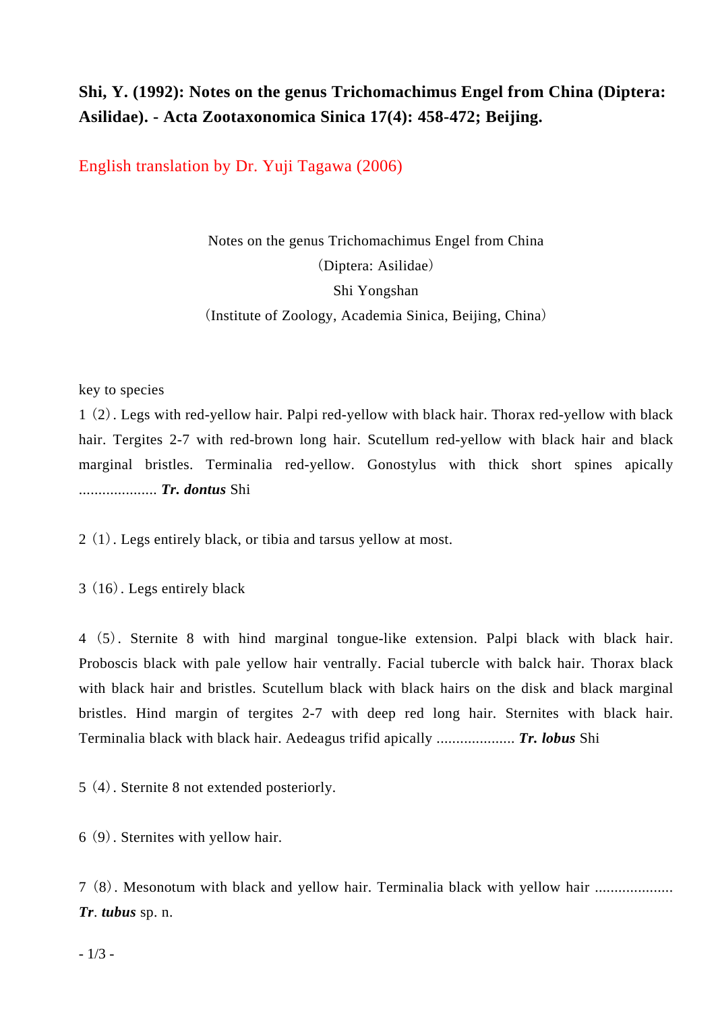## **Shi, Y. (1992): Notes on the genus Trichomachimus Engel from China (Diptera: Asilidae). - Acta Zootaxonomica Sinica 17(4): 458-472; Beijing.**

English translation by Dr. Yuji Tagawa (2006)

Notes on the genus Trichomachimus Engel from China (Diptera: Asilidae) Shi Yongshan (Institute of Zoology, Academia Sinica, Beijing, China)

key to species

1 (2). Legs with red-yellow hair. Palpi red-yellow with black hair. Thorax red-yellow with black hair. Tergites 2-7 with red-brown long hair. Scutellum red-yellow with black hair and black marginal bristles. Terminalia red-yellow. Gonostylus with thick short spines apically .................... *Tr. dontus* Shi

2 (1). Legs entirely black, or tibia and tarsus yellow at most.

3 (16). Legs entirely black

4 (5). Sternite 8 with hind marginal tongue-like extension. Palpi black with black hair. Proboscis black with pale yellow hair ventrally. Facial tubercle with balck hair. Thorax black with black hair and bristles. Scutellum black with black hairs on the disk and black marginal bristles. Hind margin of tergites 2-7 with deep red long hair. Sternites with black hair. Terminalia black with black hair. Aedeagus trifid apically .................... *Tr. lobus* Shi

5 (4). Sternite 8 not extended posteriorly.

6 (9). Sternites with yellow hair.

7 (8). Mesonotum with black and yellow hair. Terminalia black with yellow hair .................... *Tr*. *tubus* sp. n.

 $-1/3$  -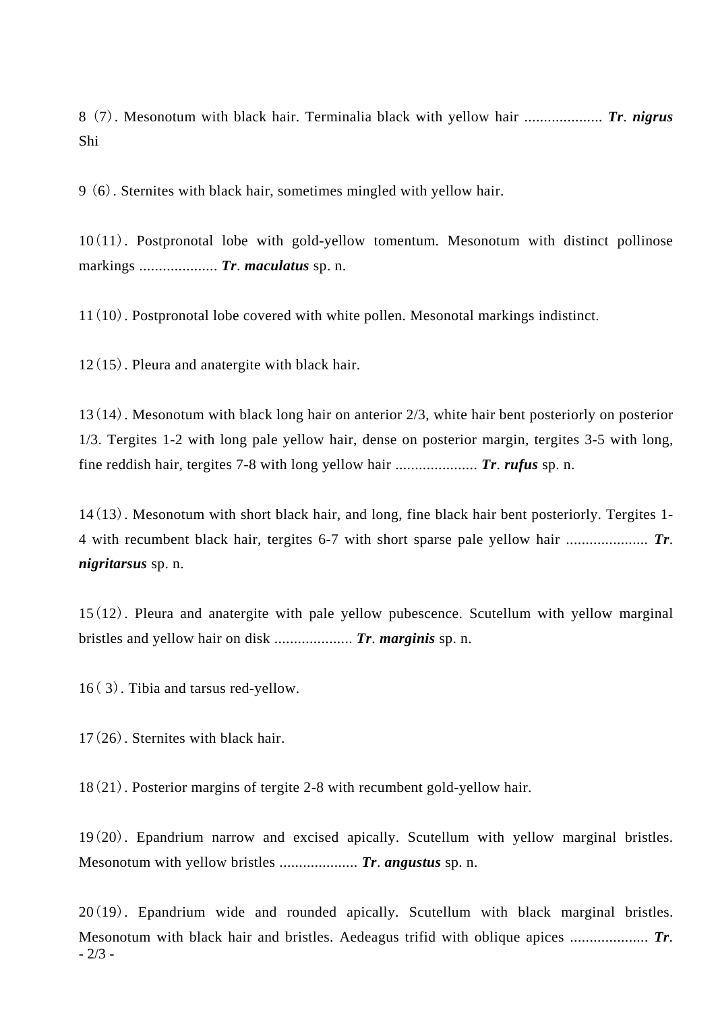8 (7). Mesonotum with black hair. Terminalia black with yellow hair .................... *Tr*. *nigrus*  Shi

9 (6). Sternites with black hair, sometimes mingled with yellow hair.

10(11). Postpronotal lobe with gold-yellow tomentum. Mesonotum with distinct pollinose markings .................... *Tr*. *maculatus* sp. n.

11(10). Postpronotal lobe covered with white pollen. Mesonotal markings indistinct.

12(15). Pleura and anatergite with black hair.

13(14). Mesonotum with black long hair on anterior 2/3, white hair bent posteriorly on posterior 1/3. Tergites 1-2 with long pale yellow hair, dense on posterior margin, tergites 3-5 with long, fine reddish hair, tergites 7-8 with long yellow hair ..................... *Tr*. *rufus* sp. n.

14(13). Mesonotum with short black hair, and long, fine black hair bent posteriorly. Tergites 1- 4 with recumbent black hair, tergites 6-7 with short sparse pale yellow hair ..................... *Tr*. *nigritarsus* sp. n.

15(12). Pleura and anatergite with pale yellow pubescence. Scutellum with yellow marginal bristles and yellow hair on disk .................... *Tr*. *marginis* sp. n.

16( 3). Tibia and tarsus red-yellow.

17(26). Sternites with black hair.

18(21). Posterior margins of tergite 2-8 with recumbent gold-yellow hair.

19(20). Epandrium narrow and excised apically. Scutellum with yellow marginal bristles. Mesonotum with yellow bristles .................... *Tr*. *angustus* sp. n.

 $-2/3$  – 20(19). Epandrium wide and rounded apically. Scutellum with black marginal bristles. Mesonotum with black hair and bristles. Aedeagus trifid with oblique apices .................... *Tr*.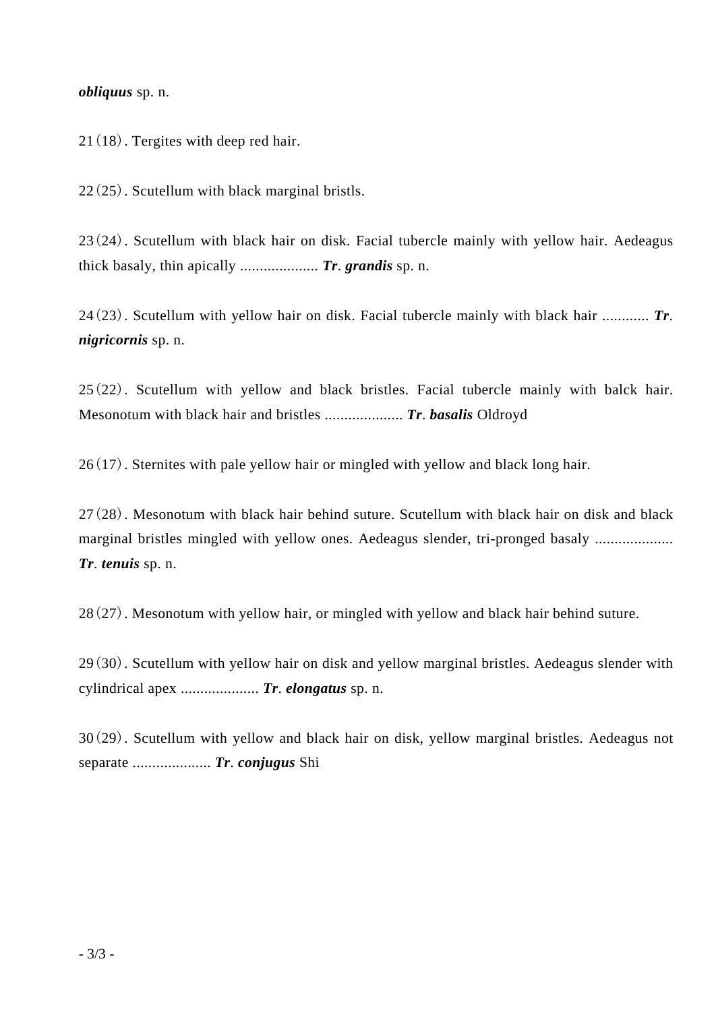#### *obliquus* sp. n.

21(18). Tergites with deep red hair.

22(25). Scutellum with black marginal bristls.

23(24). Scutellum with black hair on disk. Facial tubercle mainly with yellow hair. Aedeagus thick basaly, thin apically .................... *Tr*. *grandis* sp. n.

24(23). Scutellum with yellow hair on disk. Facial tubercle mainly with black hair ............ *Tr*. *nigricornis* sp. n.

25(22). Scutellum with yellow and black bristles. Facial tubercle mainly with balck hair. Mesonotum with black hair and bristles .................... *Tr*. *basalis* Oldroyd

26(17). Sternites with pale yellow hair or mingled with yellow and black long hair.

27(28). Mesonotum with black hair behind suture. Scutellum with black hair on disk and black marginal bristles mingled with yellow ones. Aedeagus slender, tri-pronged basaly ............................. *Tr*. *tenuis* sp. n.

28(27). Mesonotum with yellow hair, or mingled with yellow and black hair behind suture.

29(30). Scutellum with yellow hair on disk and yellow marginal bristles. Aedeagus slender with cylindrical apex .................... *Tr*. *elongatus* sp. n.

30(29). Scutellum with yellow and black hair on disk, yellow marginal bristles. Aedeagus not separate .................... *Tr*. *conjugus* Shi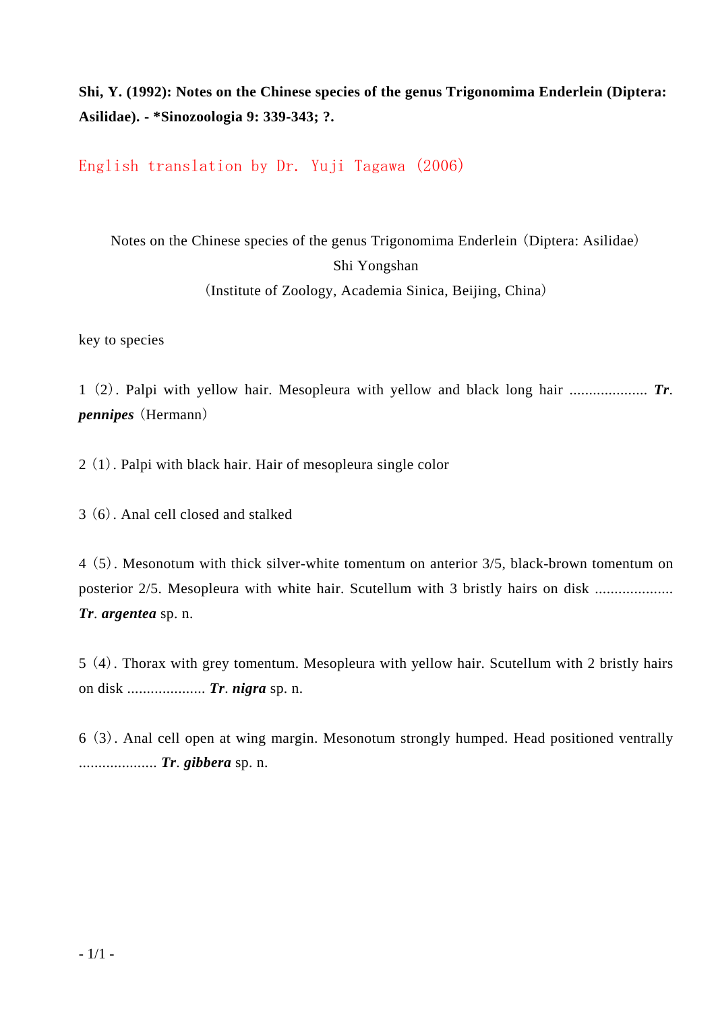### **Shi, Y. (1992): Notes on the Chinese species of the genus Trigonomima Enderlein (Diptera: Asilidae). - \*Sinozoologia 9: 339-343; ?.**

English translation by Dr. Yuji Tagawa (2006)

# Notes on the Chinese species of the genus Trigonomima Enderlein (Diptera: Asilidae) Shi Yongshan

(Institute of Zoology, Academia Sinica, Beijing, China)

key to species

1 (2). Palpi with yellow hair. Mesopleura with yellow and black long hair .................... *Tr*. *pennipes* (Hermann)

2 (1). Palpi with black hair. Hair of mesopleura single color

3 (6). Anal cell closed and stalked

4 (5). Mesonotum with thick silver-white tomentum on anterior 3/5, black-brown tomentum on posterior 2/5. Mesopleura with white hair. Scutellum with 3 bristly hairs on disk ............................ *Tr*. *argentea* sp. n.

5 (4). Thorax with grey tomentum. Mesopleura with yellow hair. Scutellum with 2 bristly hairs on disk .................... *Tr*. *nigra* sp. n.

6 (3). Anal cell open at wing margin. Mesonotum strongly humped. Head positioned ventrally .................... *Tr*. *gibbera* sp. n.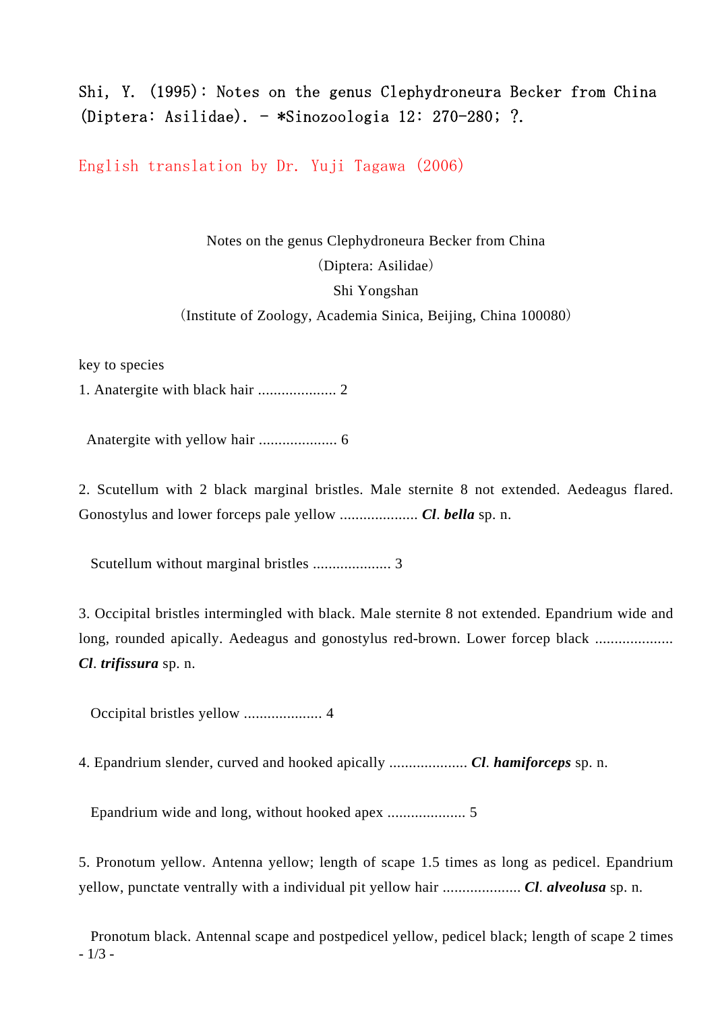## Shi, Y. (1995): Notes on the genus Clephydroneura Becker from China (Diptera: Asilidae). - \*Sinozoologia 12: 270-280; ?.

English translation by Dr. Yuji Tagawa (2006)

Notes on the genus Clephydroneura Becker from China (Diptera: Asilidae) Shi Yongshan (Institute of Zoology, Academia Sinica, Beijing, China 100080)

key to species

1. Anatergite with black hair .................... 2

Anatergite with yellow hair .................... 6

2. Scutellum with 2 black marginal bristles. Male sternite 8 not extended. Aedeagus flared. Gonostylus and lower forceps pale yellow .................... *Cl*. *bella* sp. n.

Scutellum without marginal bristles .................... 3

3. Occipital bristles intermingled with black. Male sternite 8 not extended. Epandrium wide and long, rounded apically. Aedeagus and gonostylus red-brown. Lower forcep black ..................... *Cl*. *trifissura* sp. n.

Occipital bristles yellow .................... 4

4. Epandrium slender, curved and hooked apically .................... *Cl*. *hamiforceps* sp. n.

Epandrium wide and long, without hooked apex .................... 5

5. Pronotum yellow. Antenna yellow; length of scape 1.5 times as long as pedicel. Epandrium yellow, punctate ventrally with a individual pit yellow hair .................... *Cl*. *alveolusa* sp. n.

- 1/3 - Pronotum black. Antennal scape and postpedicel yellow, pedicel black; length of scape 2 times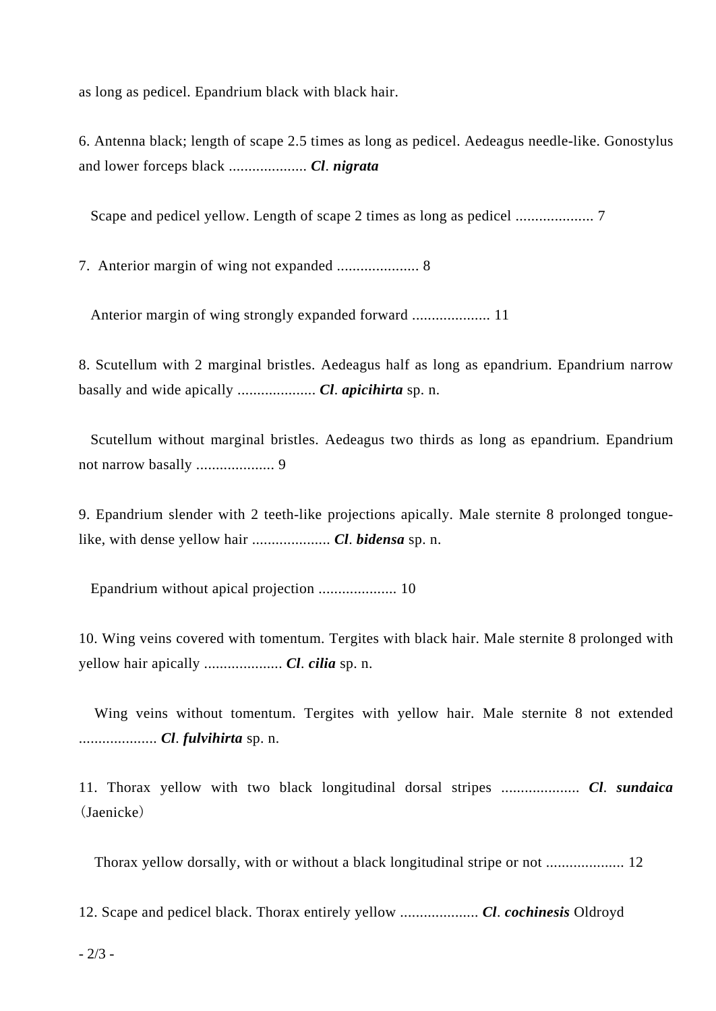as long as pedicel. Epandrium black with black hair.

6. Antenna black; length of scape 2.5 times as long as pedicel. Aedeagus needle-like. Gonostylus and lower forceps black .................... *Cl*. *nigrata*

Scape and pedicel yellow. Length of scape 2 times as long as pedicel .................... 7

7. Anterior margin of wing not expanded ..................... 8

Anterior margin of wing strongly expanded forward .................... 11

8. Scutellum with 2 marginal bristles. Aedeagus half as long as epandrium. Epandrium narrow basally and wide apically .................... *Cl*. *apicihirta* sp. n.

 Scutellum without marginal bristles. Aedeagus two thirds as long as epandrium. Epandrium not narrow basally .................... 9

9. Epandrium slender with 2 teeth-like projections apically. Male sternite 8 prolonged tonguelike, with dense yellow hair .................... *Cl*. *bidensa* sp. n.

Epandrium without apical projection .................... 10

10. Wing veins covered with tomentum. Tergites with black hair. Male sternite 8 prolonged with yellow hair apically .................... *Cl*. *cilia* sp. n.

 Wing veins without tomentum. Tergites with yellow hair. Male sternite 8 not extended .................... *Cl*. *fulvihirta* sp. n.

11. Thorax yellow with two black longitudinal dorsal stripes .................... *Cl*. *sundaica*  (Jaenicke)

Thorax yellow dorsally, with or without a black longitudinal stripe or not .................... 12

12. Scape and pedicel black. Thorax entirely yellow .................... *Cl*. *cochinesis* Oldroyd